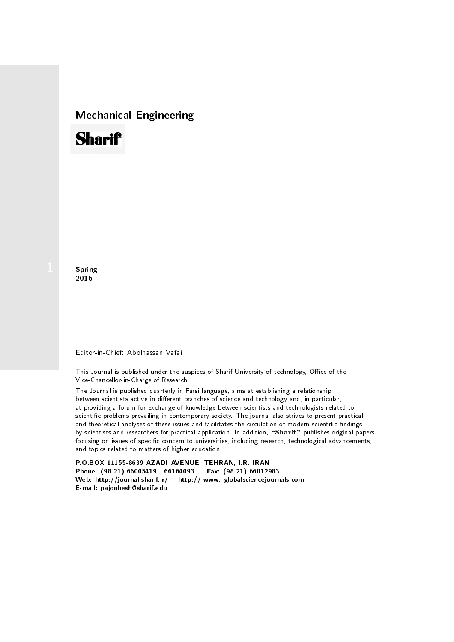## Mechanical Engineering

# **Sharif**

**Spring** 2016

#### Editor-in-Chief: Abolhassan Vafai

This Journal is published under the auspices of Sharif University of technology, Office of the Vice-Chancellor-in-Charge of Research.

The Journal is published quarterly in Farsi language, aims at establishing a relationship between scientists active in different branches of science and technology and, in particular, at providing a forum for exchange of knowledge between scientists and technologists related to scientic problems prevailing in contemporary society. The journal also strives to present practical and theoretical analyses of these issues and facilitates the circulation of modern scientific findings by scientists and researchers for practical application. In addition, "Sharif" publishes original papers focusing on issues of specific concern to universities, including research, technological advancements, and topics related to matters of higher education.

P.O.BOX 11155-8639 AZADI AVENUE, TEHRAN, I.R. IRAN Phone: (98-21) 66005419 - 66164093 Fax: (98-21) 66012983 Web: http://journal.sharif.ir/ http:// www. globalsciencejournals.com E-mail: pajouhesh@sharif.edu